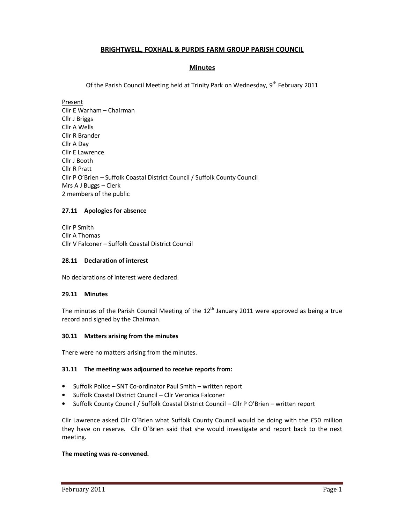# **BRIGHTWELL, FOXHALL & PURDIS FARM GROUP PARISH COUNCIL**

# **Minutes**

Of the Parish Council Meeting held at Trinity Park on Wednesday, 9<sup>th</sup> February 2011

Present Cllr E Warham – Chairman Cllr J Briggs Cllr A Wells Cllr R Brander Cllr A Day Cllr E Lawrence Cllr J Booth Cllr R Pratt Cllr P O'Brien – Suffolk Coastal District Council / Suffolk County Council Mrs A J Buggs – Clerk 2 members of the public

### **27.11 Apologies for absence**

Cllr P Smith Cllr A Thomas Cllr V Falconer – Suffolk Coastal District Council

## **28.11 Declaration of interest**

No declarations of interest were declared.

#### **29.11 Minutes**

The minutes of the Parish Council Meeting of the  $12<sup>th</sup>$  January 2011 were approved as being a true record and signed by the Chairman.

#### **30.11 Matters arising from the minutes**

There were no matters arising from the minutes.

## **31.11 The meeting was adjourned to receive reports from:**

- Suffolk Police SNT Co-ordinator Paul Smith written report
- Suffolk Coastal District Council Cllr Veronica Falconer
- Suffolk County Council / Suffolk Coastal District Council Cllr P O'Brien written report

Cllr Lawrence asked Cllr O'Brien what Suffolk County Council would be doing with the £50 million they have on reserve. Cllr O'Brien said that she would investigate and report back to the next meeting.

#### **The meeting was re-convened.**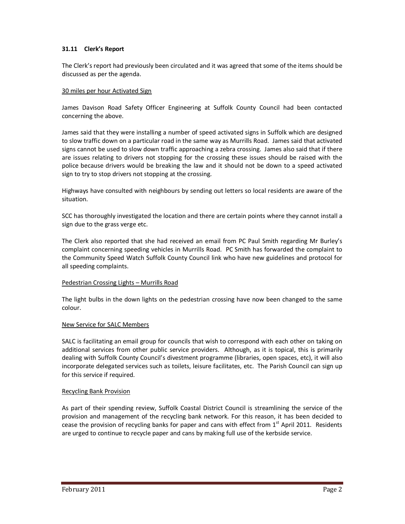## **31.11 Clerk's Report**

The Clerk's report had previously been circulated and it was agreed that some of the items should be discussed as per the agenda.

### 30 miles per hour Activated Sign

James Davison Road Safety Officer Engineering at Suffolk County Council had been contacted concerning the above.

James said that they were installing a number of speed activated signs in Suffolk which are designed to slow traffic down on a particular road in the same way as Murrills Road. James said that activated signs cannot be used to slow down traffic approaching a zebra crossing. James also said that if there are issues relating to drivers not stopping for the crossing these issues should be raised with the police because drivers would be breaking the law and it should not be down to a speed activated sign to try to stop drivers not stopping at the crossing.

Highways have consulted with neighbours by sending out letters so local residents are aware of the situation.

SCC has thoroughly investigated the location and there are certain points where they cannot install a sign due to the grass verge etc.

The Clerk also reported that she had received an email from PC Paul Smith regarding Mr Burley's complaint concerning speeding vehicles in Murrills Road. PC Smith has forwarded the complaint to the Community Speed Watch Suffolk County Council link who have new guidelines and protocol for all speeding complaints.

#### Pedestrian Crossing Lights – Murrills Road

The light bulbs in the down lights on the pedestrian crossing have now been changed to the same colour.

#### New Service for SALC Members

SALC is facilitating an email group for councils that wish to correspond with each other on taking on additional services from other public service providers. Although, as it is topical, this is primarily dealing with Suffolk County Council's divestment programme (libraries, open spaces, etc), it will also incorporate delegated services such as toilets, leisure facilitates, etc. The Parish Council can sign up for this service if required.

#### Recycling Bank Provision

As part of their spending review, Suffolk Coastal District Council is streamlining the service of the provision and management of the recycling bank network. For this reason, it has been decided to cease the provision of recycling banks for paper and cans with effect from  $1<sup>st</sup>$  April 2011. Residents are urged to continue to recycle paper and cans by making full use of the kerbside service.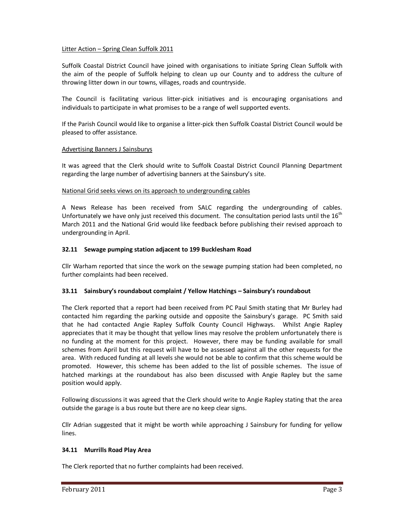## Litter Action – Spring Clean Suffolk 2011

Suffolk Coastal District Council have joined with organisations to initiate Spring Clean Suffolk with the aim of the people of Suffolk helping to clean up our County and to address the culture of throwing litter down in our towns, villages, roads and countryside.

The Council is facilitating various litter-pick initiatives and is encouraging organisations and individuals to participate in what promises to be a range of well supported events.

If the Parish Council would like to organise a litter-pick then Suffolk Coastal District Council would be pleased to offer assistance.

### Advertising Banners J Sainsburys

It was agreed that the Clerk should write to Suffolk Coastal District Council Planning Department regarding the large number of advertising banners at the Sainsbury's site.

### National Grid seeks views on its approach to undergrounding cables

A News Release has been received from SALC regarding the undergrounding of cables. Unfortunately we have only just received this document. The consultation period lasts until the  $16<sup>th</sup>$ March 2011 and the National Grid would like feedback before publishing their revised approach to undergrounding in April.

### **32.11 Sewage pumping station adjacent to 199 Bucklesham Road**

Cllr Warham reported that since the work on the sewage pumping station had been completed, no further complaints had been received.

## **33.11 Sainsbury's roundabout complaint / Yellow Hatchings – Sainsbury's roundabout**

The Clerk reported that a report had been received from PC Paul Smith stating that Mr Burley had contacted him regarding the parking outside and opposite the Sainsbury's garage. PC Smith said that he had contacted Angie Rapley Suffolk County Council Highways. Whilst Angie Rapley appreciates that it may be thought that yellow lines may resolve the problem unfortunately there is no funding at the moment for this project. However, there may be funding available for small schemes from April but this request will have to be assessed against all the other requests for the area. With reduced funding at all levels she would not be able to confirm that this scheme would be promoted. However, this scheme has been added to the list of possible schemes. The issue of hatched markings at the roundabout has also been discussed with Angie Rapley but the same position would apply.

Following discussions it was agreed that the Clerk should write to Angie Rapley stating that the area outside the garage is a bus route but there are no keep clear signs.

Cllr Adrian suggested that it might be worth while approaching J Sainsbury for funding for yellow lines.

#### **34.11 Murrills Road Play Area**

The Clerk reported that no further complaints had been received.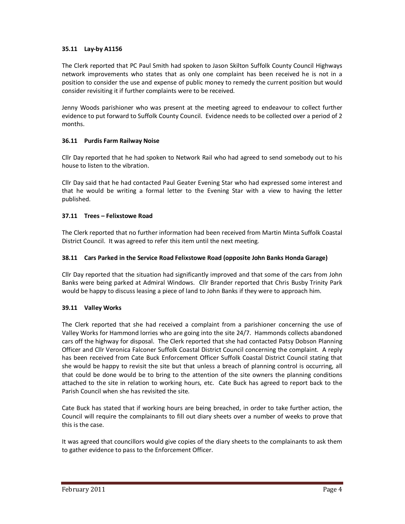## **35.11 Lay-by A1156**

The Clerk reported that PC Paul Smith had spoken to Jason Skilton Suffolk County Council Highways network improvements who states that as only one complaint has been received he is not in a position to consider the use and expense of public money to remedy the current position but would consider revisiting it if further complaints were to be received.

Jenny Woods parishioner who was present at the meeting agreed to endeavour to collect further evidence to put forward to Suffolk County Council. Evidence needs to be collected over a period of 2 months.

## **36.11 Purdis Farm Railway Noise**

Cllr Day reported that he had spoken to Network Rail who had agreed to send somebody out to his house to listen to the vibration.

Cllr Day said that he had contacted Paul Geater Evening Star who had expressed some interest and that he would be writing a formal letter to the Evening Star with a view to having the letter published.

## **37.11 Trees – Felixstowe Road**

The Clerk reported that no further information had been received from Martin Minta Suffolk Coastal District Council. It was agreed to refer this item until the next meeting.

## **38.11 Cars Parked in the Service Road Felixstowe Road (opposite John Banks Honda Garage)**

Cllr Day reported that the situation had significantly improved and that some of the cars from John Banks were being parked at Admiral Windows. Cllr Brander reported that Chris Busby Trinity Park would be happy to discuss leasing a piece of land to John Banks if they were to approach him.

## **39.11 Valley Works**

The Clerk reported that she had received a complaint from a parishioner concerning the use of Valley Works for Hammond lorries who are going into the site 24/7. Hammonds collects abandoned cars off the highway for disposal. The Clerk reported that she had contacted Patsy Dobson Planning Officer and Cllr Veronica Falconer Suffolk Coastal District Council concerning the complaint. A reply has been received from Cate Buck Enforcement Officer Suffolk Coastal District Council stating that she would be happy to revisit the site but that unless a breach of planning control is occurring, all that could be done would be to bring to the attention of the site owners the planning conditions attached to the site in relation to working hours, etc. Cate Buck has agreed to report back to the Parish Council when she has revisited the site.

Cate Buck has stated that if working hours are being breached, in order to take further action, the Council will require the complainants to fill out diary sheets over a number of weeks to prove that this is the case.

It was agreed that councillors would give copies of the diary sheets to the complainants to ask them to gather evidence to pass to the Enforcement Officer.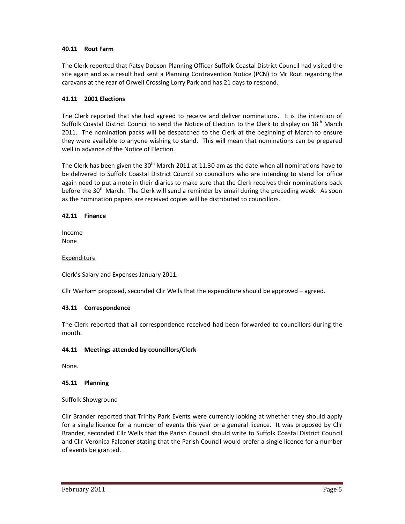## **40.11 Rout Farm**

The Clerk reported that Patsy Dobson Planning Officer Suffolk Coastal District Council had visited the site again and as a result had sent a Planning Contravention Notice (PCN) to Mr Rout regarding the caravans at the rear of Orwell Crossing Lorry Park and has 21 days to respond.

## **41.11 2001 Elections**

The Clerk reported that she had agreed to receive and deliver nominations. It is the intention of Suffolk Coastal District Council to send the Notice of Election to the Clerk to display on 18<sup>th</sup> March 2011. The nomination packs will be despatched to the Clerk at the beginning of March to ensure they were available to anyone wishing to stand. This will mean that nominations can be prepared well in advance of the Notice of Election.

The Clerk has been given the 30<sup>th</sup> March 2011 at 11.30 am as the date when all nominations have to be delivered to Suffolk Coastal District Council so councillors who are intending to stand for office again need to put a note in their diaries to make sure that the Clerk receives their nominations back before the 30<sup>th</sup> March. The Clerk will send a reminder by email during the preceding week. As soon as the nomination papers are received copies will be distributed to councillors.

### **42.11 Finance**

Income None

### Expenditure

Clerk's Salary and Expenses January 2011.

Cllr Warham proposed, seconded Cllr Wells that the expenditure should be approved – agreed.

#### **43.11 Correspondence**

The Clerk reported that all correspondence received had been forwarded to councillors during the month.

## **44.11 Meetings attended by councillors/Clerk**

None.

#### **45.11 Planning**

#### Suffolk Showground

Cllr Brander reported that Trinity Park Events were currently looking at whether they should apply for a single licence for a number of events this year or a general licence. It was proposed by Cllr Brander, seconded Cllr Wells that the Parish Council should write to Suffolk Coastal District Council and Cllr Veronica Falconer stating that the Parish Council would prefer a single licence for a number of events be granted.